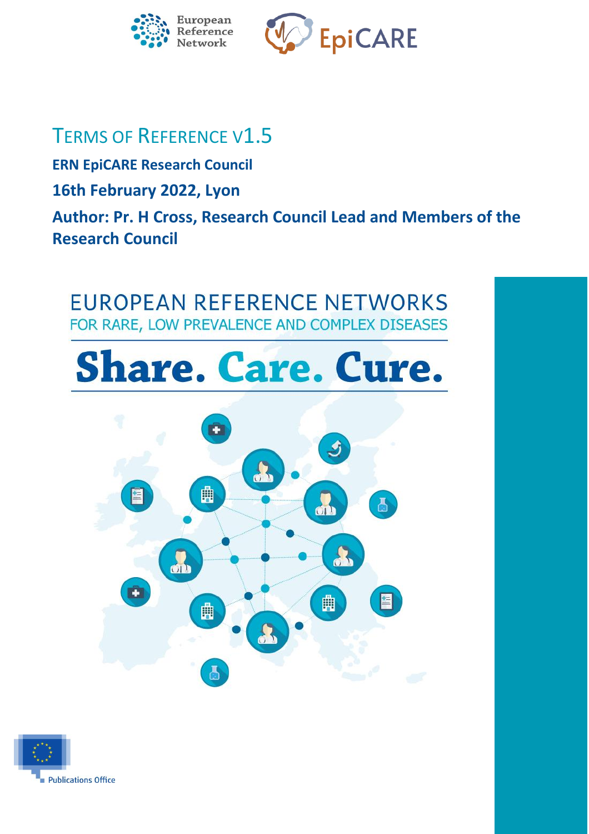

# TERMS OF REFERENCE V1.5

**ERN EpiCARE Research Council**

**16th February 2022, Lyon** 

**Author: Pr. H Cross, Research Council Lead and Members of the Research Council**

# **EUROPEAN REFERENCE NETWORKS** FOR RARE, LOW PREVALENCE AND COMPLEX DISEASES

# **Share. Care. Cure.**



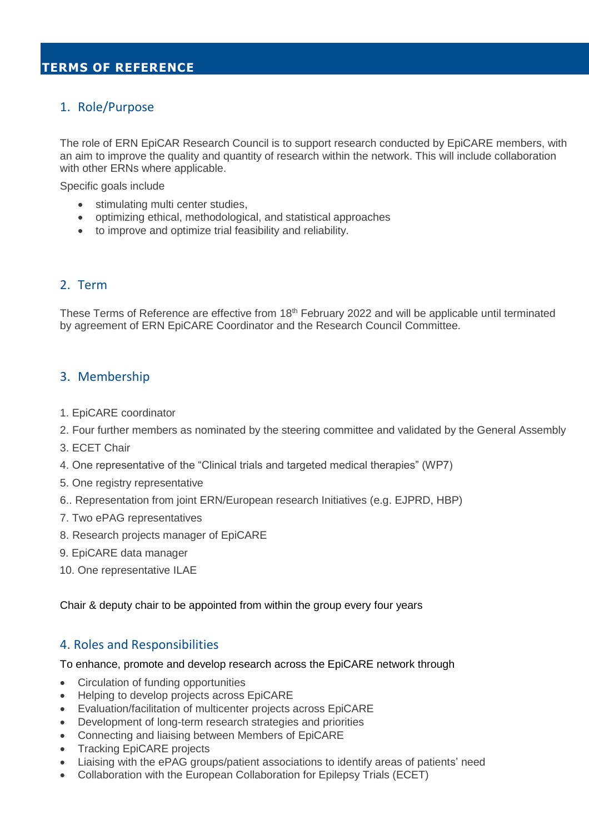## 1. Role/Purpose

The role of ERN EpiCAR Research Council is to support research conducted by EpiCARE members, with an aim to improve the quality and quantity of research within the network. This will include collaboration with other ERNs where applicable.

Specific goals include

- stimulating multi center studies,
- optimizing ethical, methodological, and statistical approaches
- to improve and optimize trial feasibility and reliability.

## 2. Term

These Terms of Reference are effective from 18<sup>th</sup> February 2022 and will be applicable until terminated by agreement of ERN EpiCARE Coordinator and the Research Council Committee.

#### 3. Membership

- 1. EpiCARE coordinator
- 2. Four further members as nominated by the steering committee and validated by the General Assembly
- 3. ECET Chair
- 4. One representative of the "Clinical trials and targeted medical therapies" (WP7)
- 5. One registry representative
- 6.. Representation from joint ERN/European research Initiatives (e.g. EJPRD, HBP)
- 7. Two ePAG representatives
- 8. Research projects manager of EpiCARE
- 9. EpiCARE data manager
- 10. One representative ILAE

Chair & deputy chair to be appointed from within the group every four years

#### 4. Roles and Responsibilities

To enhance, promote and develop research across the EpiCARE network through

- Circulation of funding opportunities
- Helping to develop projects across EpiCARE
- Evaluation/facilitation of multicenter projects across EpiCARE
- Development of long-term research strategies and priorities
- Connecting and liaising between Members of EpiCARE
- Tracking EpiCARE projects
- Liaising with the ePAG groups/patient associations to identify areas of patients' need
- Collaboration with the European Collaboration for Epilepsy Trials (ECET)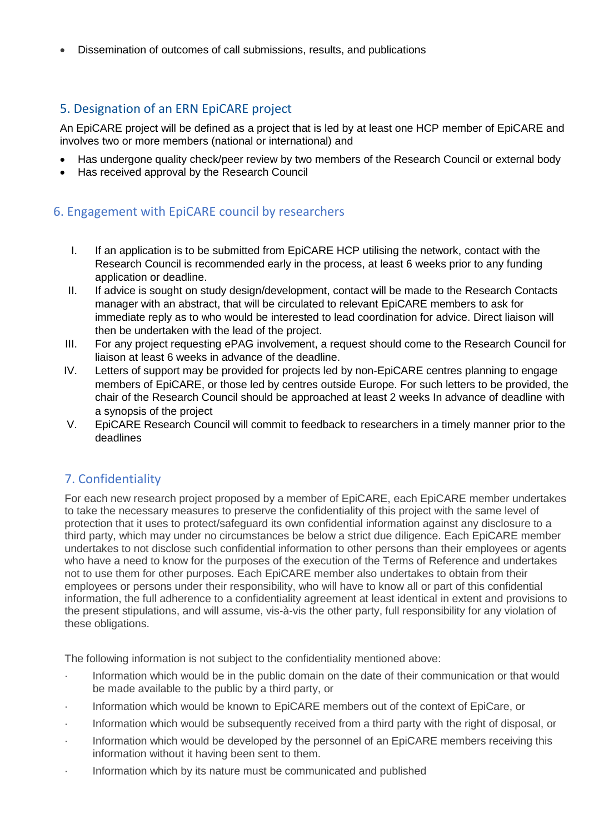Dissemination of outcomes of call submissions, results, and publications

# 5. Designation of an ERN EpiCARE project

An EpiCARE project will be defined as a project that is led by at least one HCP member of EpiCARE and involves two or more members (national or international) and

- Has undergone quality check/peer review by two members of the Research Council or external body
- Has received approval by the Research Council

# 6. Engagement with EpiCARE council by researchers

- I. If an application is to be submitted from EpiCARE HCP utilising the network, contact with the Research Council is recommended early in the process, at least 6 weeks prior to any funding application or deadline.
- II. If advice is sought on study design/development, contact will be made to the Research Contacts manager with an abstract, that will be circulated to relevant EpiCARE members to ask for immediate reply as to who would be interested to lead coordination for advice. Direct liaison will then be undertaken with the lead of the project.
- III. For any project requesting ePAG involvement, a request should come to the Research Council for liaison at least 6 weeks in advance of the deadline.
- IV. Letters of support may be provided for projects led by non-EpiCARE centres planning to engage members of EpiCARE, or those led by centres outside Europe. For such letters to be provided, the chair of the Research Council should be approached at least 2 weeks In advance of deadline with a synopsis of the project
- V. EpiCARE Research Council will commit to feedback to researchers in a timely manner prior to the deadlines

# 7. Confidentiality

For each new research project proposed by a member of EpiCARE, each EpiCARE member undertakes to take the necessary measures to preserve the confidentiality of this project with the same level of protection that it uses to protect/safeguard its own confidential information against any disclosure to a third party, which may under no circumstances be below a strict due diligence. Each EpiCARE member undertakes to not disclose such confidential information to other persons than their employees or agents who have a need to know for the purposes of the execution of the Terms of Reference and undertakes not to use them for other purposes. Each EpiCARE member also undertakes to obtain from their employees or persons under their responsibility, who will have to know all or part of this confidential information, the full adherence to a confidentiality agreement at least identical in extent and provisions to the present stipulations, and will assume, vis-à-vis the other party, full responsibility for any violation of these obligations.

The following information is not subject to the confidentiality mentioned above:

- Information which would be in the public domain on the date of their communication or that would be made available to the public by a third party, or
- Information which would be known to EpiCARE members out of the context of EpiCare, or
- Information which would be subsequently received from a third party with the right of disposal, or
- Information which would be developed by the personnel of an EpiCARE members receiving this information without it having been sent to them.
- Information which by its nature must be communicated and published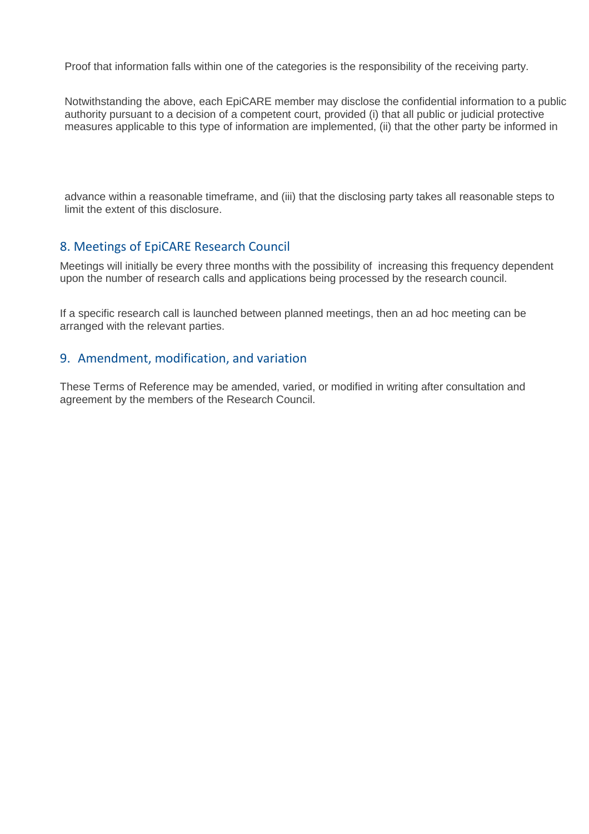Proof that information falls within one of the categories is the responsibility of the receiving party.

Notwithstanding the above, each EpiCARE member may disclose the confidential information to a public authority pursuant to a decision of a competent court, provided (i) that all public or judicial protective measures applicable to this type of information are implemented, (ii) that the other party be informed in

advance within a reasonable timeframe, and (iii) that the disclosing party takes all reasonable steps to limit the extent of this disclosure.

#### 8. Meetings of EpiCARE Research Council

Meetings will initially be every three months with the possibility of increasing this frequency dependent upon the number of research calls and applications being processed by the research council.

If a specific research call is launched between planned meetings, then an ad hoc meeting can be arranged with the relevant parties.

#### 9. Amendment, modification, and variation

These Terms of Reference may be amended, varied, or modified in writing after consultation and agreement by the members of the Research Council.